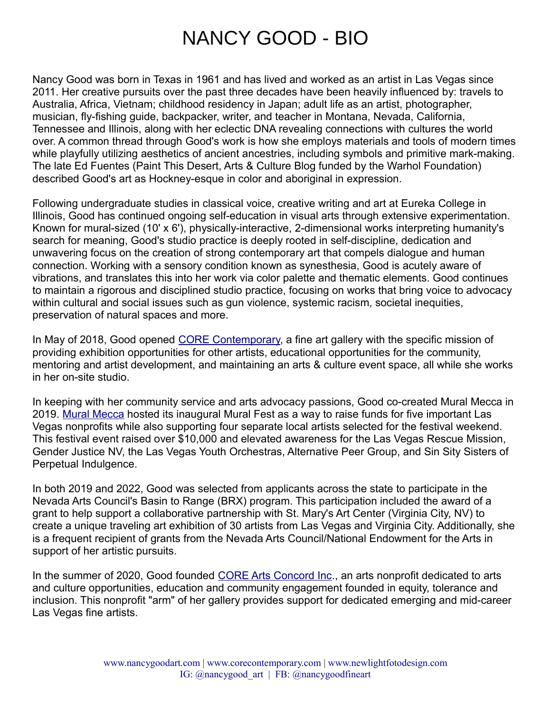## NANCY GOOD - BIO

Nancy Good was born in Texas in 1961 and has lived and worked as an artist in Las Vegas since 2011. Her creative pursuits over the past three decades have been heavily influenced by: travels to Australia, Africa, Vietnam; childhood residency in Japan; adult life as an artist, photographer, musician, fly-fishing guide, backpacker, writer, and teacher in Montana, Nevada, California, Tennessee and Illinois, along with her eclectic DNA revealing connections with cultures the world over. A common thread through Good's work is how she employs materials and tools of modern times while playfully utilizing aesthetics of ancient ancestries, including symbols and primitive mark-making. The late Ed Fuentes (Paint This Desert, Arts & Culture Blog funded by the Warhol Foundation) described Good's art as Hockney-esque in color and aboriginal in expression.

Following undergraduate studies in classical voice, creative writing and art at Eureka College in Illinois, Good has continued ongoing self-education in visual arts through extensive experimentation. Known for mural-sized (10' x 6'), physically-interactive, 2-dimensional works interpreting humanity's search for meaning, Good's studio practice is deeply rooted in self-discipline, dedication and unwavering focus on the creation of strong contemporary art that compels dialogue and human connection. Working with a sensory condition known as synesthesia, Good is acutely aware of vibrations, and translates this into her work via color palette and thematic elements. Good continues to maintain a rigorous and disciplined studio practice, focusing on works that bring voice to advocacy within cultural and social issues such as gun violence, systemic racism, societal inequities, preservation of natural spaces and more.

In May of 2018, Good opened [CORE Contemporary,](http://www.corecontemporary.com/) a fine art gallery with the specific mission of providing exhibition opportunities for other artists, educational opportunities for the community, mentoring and artist development, and maintaining an arts & culture event space, all while she works in her on-site studio.

In keeping with her community service and arts advocacy passions, Good co-created Mural Mecca in 2019. [Mural Mecca](http://www.muralmecca.com/) hosted its inaugural Mural Fest as a way to raise funds for five important Las Vegas nonprofits while also supporting four separate local artists selected for the festival weekend. This festival event raised over \$10,000 and elevated awareness for the Las Vegas Rescue Mission, Gender Justice NV, the Las Vegas Youth Orchestras, Alternative Peer Group, and Sin Sity Sisters of Perpetual Indulgence.

In both 2019 and 2022, Good was selected from applicants across the state to participate in the Nevada Arts Council's Basin to Range (BRX) program. This participation included the award of a grant to help support a collaborative partnership with St. Mary's Art Center (Virginia City, NV) to create a unique traveling art exhibition of 30 artists from Las Vegas and Virginia City. Additionally, she is a frequent recipient of grants from the Nevada Arts Council/National Endowment for the Arts in support of her artistic pursuits.

In the summer of 2020, Good founded [CORE Arts Concord Inc.](http://www.coreartsconcord.org/), an arts nonprofit dedicated to arts and culture opportunities, education and community engagement founded in equity, tolerance and inclusion. This nonprofit "arm" of her gallery provides support for dedicated emerging and mid-career Las Vegas fine artists.